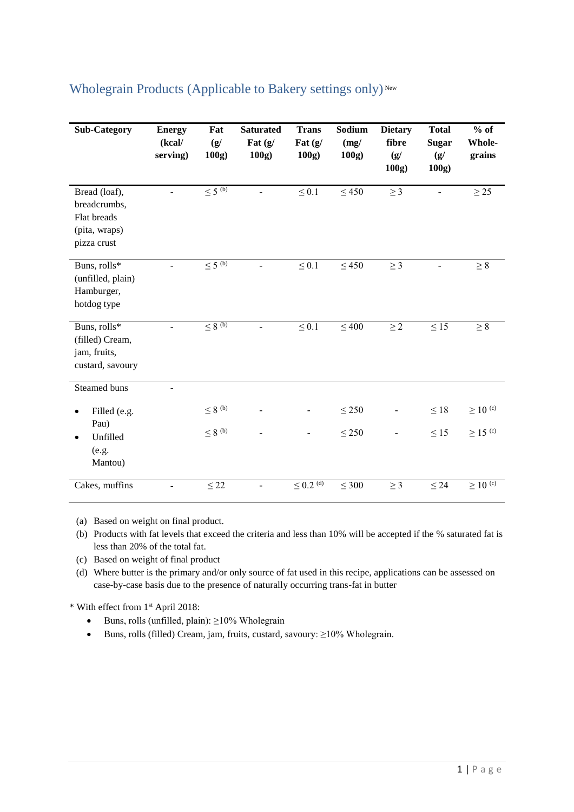| <b>Sub-Category</b>                                                          | <b>Energy</b><br>(kcal/<br>serving) | Fat<br>(g/<br>100g      | <b>Saturated</b><br>Fat $(g)$<br>100g | <b>Trans</b><br>Fat $(g)$<br>100g | Sodium<br>(mg)<br>100g | <b>Dietary</b><br>fibre<br>(g)<br>100g | <b>Total</b><br><b>Sugar</b><br>(g)<br>100g | $%$ of<br>Whole-<br>grains |
|------------------------------------------------------------------------------|-------------------------------------|-------------------------|---------------------------------------|-----------------------------------|------------------------|----------------------------------------|---------------------------------------------|----------------------------|
| Bread (loaf),<br>breadcrumbs,<br>Flat breads<br>(pita, wraps)<br>pizza crust |                                     | $\leq$ 5 <sup>(b)</sup> | $\blacksquare$                        | $\leq 0.1$                        | $\leq 450$             | $\geq 3$                               |                                             | $\geq$ 25                  |
| Buns, rolls*<br>(unfilled, plain)<br>Hamburger,<br>hotdog type               |                                     | $\leq 5^{(b)}$          |                                       | $\leq 0.1$                        | $\leq 450$             | $\geq 3$                               |                                             | $\geq 8$                   |
| Buns, rolls*<br>(filled) Cream,<br>jam, fruits,<br>custard, savoury          |                                     | $\leq 8^{(b)}$          |                                       | $\leq 0.1$                        | $\leq 400$             | $\geq 2$                               | $\leq 15$                                   | $\geq 8$                   |
| Steamed buns                                                                 |                                     |                         |                                       |                                   |                        |                                        |                                             |                            |
| Filled (e.g.<br>Pau)                                                         |                                     | $\leq 8$ $^{\rm (b)}$   |                                       |                                   | $\leq$ 250             |                                        | $\leq 18$                                   | $\geq$ 10 <sup>(c)</sup>   |
| Unfilled<br>(e.g.<br>Mantou)                                                 |                                     | $\leq 8$ <sup>(b)</sup> |                                       |                                   | $\leq 250$             |                                        | $\leq 15$                                   | $\geq$ 15 <sup>(c)</sup>   |
| Cakes, muffins                                                               |                                     | $\leq 22$               |                                       | $\leq$ 0.2 <sup>(d)</sup>         | $\leq 300$             | $\geq$ 3                               | $\leq 24$                                   | $\geq$ 10 $^{\rm (c)}$     |

## Wholegrain Products (Applicable to Bakery settings only)<sup>New</sup>

(a) Based on weight on final product.

- (b) Products with fat levels that exceed the criteria and less than 10% will be accepted if the % saturated fat is less than 20% of the total fat.
- (c) Based on weight of final product
- (d) Where butter is the primary and/or only source of fat used in this recipe, applications can be assessed on case-by-case basis due to the presence of naturally occurring trans-fat in butter

\* With effect from 1 st April 2018:

- $\bullet$  Buns, rolls (unfilled, plain):  $\geq$ 10% Wholegrain
- Buns, rolls (filled) Cream, jam, fruits, custard, savoury: ≥10% Wholegrain.